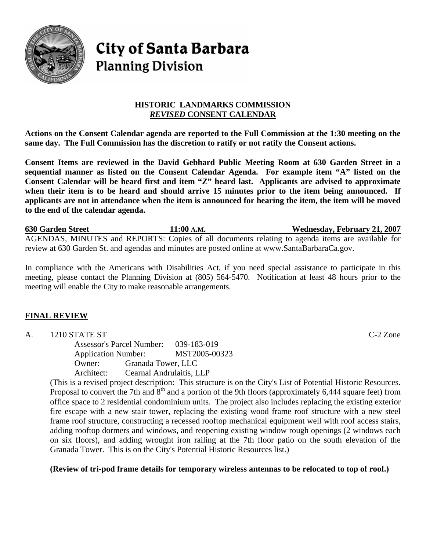

# **City of Santa Barbara Planning Division**

## **HISTORIC LANDMARKS COMMISSION**  *REVISED* **CONSENT CALENDAR**

**Actions on the Consent Calendar agenda are reported to the Full Commission at the 1:30 meeting on the same day. The Full Commission has the discretion to ratify or not ratify the Consent actions.** 

**Consent Items are reviewed in the David Gebhard Public Meeting Room at 630 Garden Street in a sequential manner as listed on the Consent Calendar Agenda. For example item "A" listed on the Consent Calendar will be heard first and item "Z" heard last. Applicants are advised to approximate when their item is to be heard and should arrive 15 minutes prior to the item being announced. If applicants are not in attendance when the item is announced for hearing the item, the item will be moved to the end of the calendar agenda.** 

**630 Garden Street 11:00 A.M. Wednesday, February 21, 2007** AGENDAS, MINUTES and REPORTS: Copies of all documents relating to agenda items are available for review at 630 Garden St. and agendas and minutes are posted online at [www.SantaBarbaraCa.gov.](http://www.santabarbaraca.gov/)

In compliance with the Americans with Disabilities Act, if you need special assistance to participate in this meeting, please contact the Planning Division at (805) 564-5470. Notification at least 48 hours prior to the meeting will enable the City to make reasonable arrangements.

# **FINAL REVIEW**

A. 1210 STATE ST C-2 Zone Assessor's Parcel Number: 039-183-019 Application Number: MST2005-00323 Owner: Granada Tower, LLC Architect: Cearnal Andrulaitis, LLP

(This is a revised project description: This structure is on the City's List of Potential Historic Resources. Proposal to convert the 7th and  $8<sup>th</sup>$  and a portion of the 9th floors (approximately 6,444 square feet) from office space to 2 residential condominium units. The project also includes replacing the existing exterior fire escape with a new stair tower, replacing the existing wood frame roof structure with a new steel frame roof structure, constructing a recessed rooftop mechanical equipment well with roof access stairs, adding rooftop dormers and windows, and reopening existing window rough openings (2 windows each on six floors), and adding wrought iron railing at the 7th floor patio on the south elevation of the Granada Tower. This is on the City's Potential Historic Resources list.)

## **(Review of tri-pod frame details for temporary wireless antennas to be relocated to top of roof.)**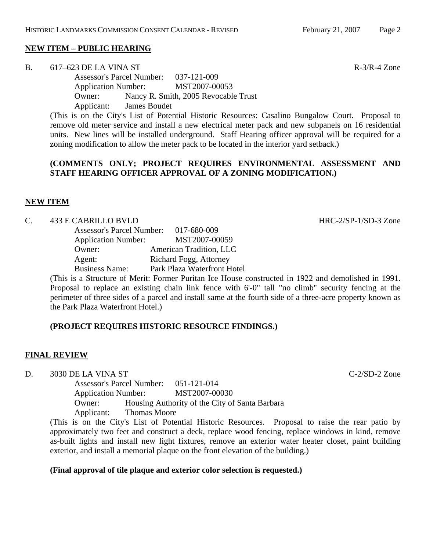#### **NEW ITEM – PUBLIC HEARING**

B. 617–623 DE LA VINA ST  $R=3/R-4 Z$  one

Assessor's Parcel Number: 037-121-009 Application Number: MST2007-00053 Owner: Nancy R. Smith, 2005 Revocable Trust Applicant: James Boudet

(This is on the City's List of Potential Historic Resources: Casalino Bungalow Court. Proposal to remove old meter service and install a new electrical meter pack and new subpanels on 16 residential units. New lines will be installed underground. Staff Hearing officer approval will be required for a zoning modification to allow the meter pack to be located in the interior yard setback.)

#### **(COMMENTS ONLY; PROJECT REQUIRES ENVIRONMENTAL ASSESSMENT AND STAFF HEARING OFFICER APPROVAL OF A ZONING MODIFICATION.)**

### **NEW ITEM**

#### C. 433 E CABRILLO BVLD HRC-2/SP-1/SD-3 Zone

| <b>Assessor's Parcel Number:</b> | 017-680-009                 |
|----------------------------------|-----------------------------|
| <b>Application Number:</b>       | MST2007-00059               |
| Owner:                           | American Tradition, LLC     |
| Agent:                           | Richard Fogg, Attorney      |
| <b>Business Name:</b>            | Park Plaza Waterfront Hotel |

(This is a Structure of Merit: Former Puritan Ice House constructed in 1922 and demolished in 1991. Proposal to replace an existing chain link fence with 6'-0" tall "no climb" security fencing at the perimeter of three sides of a parcel and install same at the fourth side of a three-acre property known as the Park Plaza Waterfront Hotel.)

## **(PROJECT REQUIRES HISTORIC RESOURCE FINDINGS.)**

## **FINAL REVIEW**

D. 3030 DE LA VINA ST C-2/SD-2 Zone

Assessor's Parcel Number: 051-121-014 Application Number: MST2007-00030 Owner: Housing Authority of the City of Santa Barbara Applicant: Thomas Moore

(This is on the City's List of Potential Historic Resources. Proposal to raise the rear patio by approximately two feet and construct a deck, replace wood fencing, replace windows in kind, remove as-built lights and install new light fixtures, remove an exterior water heater closet, paint building exterior, and install a memorial plaque on the front elevation of the building.)

#### **(Final approval of tile plaque and exterior color selection is requested.)**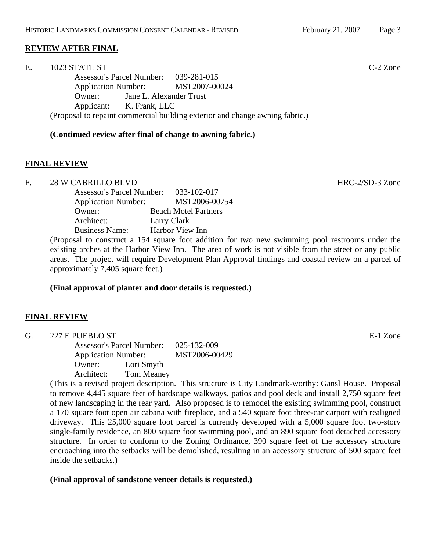## **REVIEW AFTER FINAL**

| Ε. | 1023 STATE ST                                                                | $C-2$ Zone |
|----|------------------------------------------------------------------------------|------------|
|    | Assessor's Parcel Number: 039-281-015                                        |            |
|    | Application Number: MST2007-00024                                            |            |
|    | Jane L. Alexander Trust<br>Owner:                                            |            |
|    | Applicant: K. Frank, LLC                                                     |            |
|    | (Proposal to repaint commercial building exterior and change awning fabric.) |            |

#### **(Continued review after final of change to awning fabric.)**

#### **FINAL REVIEW**

F. 28 W CABRILLO BLVD and the state of the state of the HRC-2/SD-3 Zone

| <b>Assessor's Parcel Number:</b> | 033-102-017                 |
|----------------------------------|-----------------------------|
| <b>Application Number:</b>       | MST2006-00754               |
| Owner:                           | <b>Beach Motel Partners</b> |
| Architect:                       | Larry Clark                 |
| <b>Business Name:</b>            | Harbor View Inn             |
|                                  |                             |

(Proposal to construct a 154 square foot addition for two new swimming pool restrooms under the existing arches at the Harbor View Inn. The area of work is not visible from the street or any public areas. The project will require Development Plan Approval findings and coastal review on a parcel of approximately 7,405 square feet.)

#### **(Final approval of planter and door details is requested.)**

#### **FINAL REVIEW**

| G. | 227 E PUEBLO ST            |             |               | E-1 Zone |
|----|----------------------------|-------------|---------------|----------|
|    | Assessor's Parcel Number:  | 025-132-009 |               |          |
|    | <b>Application Number:</b> |             | MST2006-00429 |          |
|    | Lori Smyth<br>Owner:       |             |               |          |
|    | Architect:                 | Tom Meaney  |               |          |

(This is a revised project description. This structure is City Landmark-worthy: Gansl House. Proposal to remove 4,445 square feet of hardscape walkways, patios and pool deck and install 2,750 square feet of new landscaping in the rear yard. Also proposed is to remodel the existing swimming pool, construct a 170 square foot open air cabana with fireplace, and a 540 square foot three-car carport with realigned driveway. This 25,000 square foot parcel is currently developed with a 5,000 square foot two-story single-family residence, an 800 square foot swimming pool, and an 890 square foot detached accessory structure. In order to conform to the Zoning Ordinance, 390 square feet of the accessory structure encroaching into the setbacks will be demolished, resulting in an accessory structure of 500 square feet inside the setbacks.)

#### **(Final approval of sandstone veneer details is requested.)**